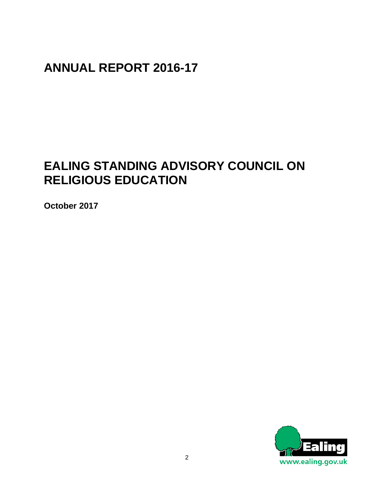## **ANNUAL REPORT 2016-17**

# **EALING STANDING ADVISORY COUNCIL ON RELIGIOUS EDUCATION**

**October 2017** 

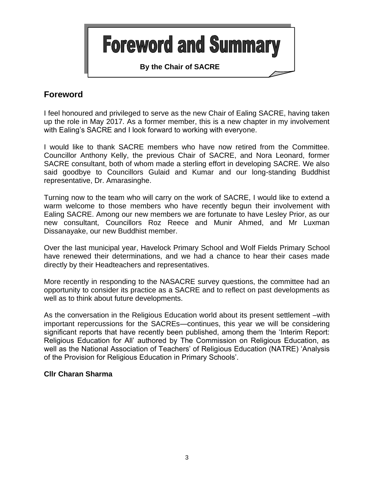

## **Foreword**

I feel honoured and privileged to serve as the new Chair of Ealing SACRE, having taken up the role in May 2017. As a former member, this is a new chapter in my involvement with Ealing's SACRE and I look forward to working with everyone.

I would like to thank SACRE members who have now retired from the Committee. Councillor Anthony Kelly, the previous Chair of SACRE, and Nora Leonard, former SACRE consultant, both of whom made a sterling effort in developing SACRE. We also said goodbye to Councillors Gulaid and Kumar and our long-standing Buddhist representative, Dr. Amarasinghe.

Turning now to the team who will carry on the work of SACRE, I would like to extend a warm welcome to those members who have recently begun their involvement with Ealing SACRE. Among our new members we are fortunate to have Lesley Prior, as our new consultant, Councillors Roz Reece and Munir Ahmed, and Mr Luxman Dissanayake, our new Buddhist member.

Over the last municipal year, Havelock Primary School and Wolf Fields Primary School have renewed their determinations, and we had a chance to hear their cases made directly by their Headteachers and representatives.

More recently in responding to the NASACRE survey questions, the committee had an opportunity to consider its practice as a SACRE and to reflect on past developments as well as to think about future developments.

As the conversation in the Religious Education world about its present settlement –with important repercussions for the SACREs—continues, this year we will be considering significant reports that have recently been published, among them the 'Interim Report: Religious Education for All' authored by The Commission on Religious Education, as well as the National Association of Teachers' of Religious Education (NATRE) 'Analysis of the Provision for Religious Education in Primary Schools'.

### **Cllr Charan Sharma**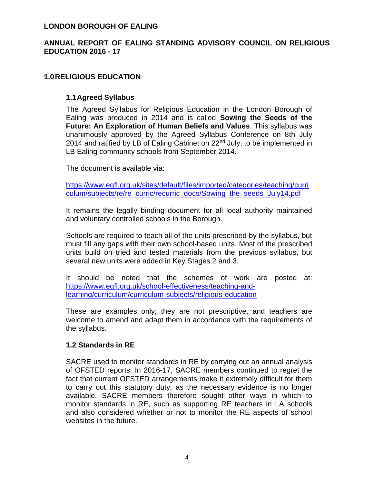### **LONDON BOROUGH OF EALING**

## **ANNUAL REPORT OF EALING STANDING ADVISORY COUNCIL ON RELIGIOUS EDUCATION 2016 - 17**

## **1.0RELIGIOUS EDUCATION**

### **1.1Agreed Syllabus**

The Agreed Syllabus for Religious Education in the London Borough of Ealing was produced in 2014 and is called **Sowing the Seeds of the Future: An Exploration of Human Beliefs and Values**. This syllabus was unanimously approved by the Agreed Syllabus Conference on 8th July 2014 and ratified by LB of Ealing Cabinet on 22<sup>nd</sup> July, to be implemented in LB Ealing community schools from September 2014.

The document is available via:

[https://www.egfl.org.uk/sites/default/files/imported/categories/teaching/curri](https://www.egfl.org.uk/sites/default/files/imported/categories/teaching/curriculum/subjects/re/re_curric/recurric_docs/Sowing_the_seeds_July14.pdf) [culum/subjects/re/re\\_curric/recurric\\_docs/Sowing\\_the\\_seeds\\_July14.pdf](https://www.egfl.org.uk/sites/default/files/imported/categories/teaching/curriculum/subjects/re/re_curric/recurric_docs/Sowing_the_seeds_July14.pdf)

It remains the legally binding document for all local authority maintained and voluntary controlled schools in the Borough.

Schools are required to teach all of the units prescribed by the syllabus, but must fill any gaps with their own school-based units. Most of the prescribed units build on tried and tested materials from the previous syllabus, but several new units were added in Key Stages 2 and 3.

It should be noted that the schemes of work are posted at: [https://www.egfl.org.uk/school-effectiveness/teaching-and](https://www.egfl.org.uk/school-effectiveness/teaching-and-learning/curriculum/curriculum-subjects/religious-education)[learning/curriculum/curriculum-subjects/religious-education](https://www.egfl.org.uk/school-effectiveness/teaching-and-learning/curriculum/curriculum-subjects/religious-education)

These are examples only; they are not prescriptive, and teachers are welcome to amend and adapt them in accordance with the requirements of the syllabus.

### **1.2 Standards in RE**

SACRE used to monitor standards in RE by carrying out an annual analysis of OFSTED reports. In 2016-17, SACRE members continued to regret the fact that current OFSTED arrangements make it extremely difficult for them to carry out this statutory duty, as the necessary evidence is no longer available. SACRE members therefore sought other ways in which to monitor standards in RE, such as supporting RE teachers in LA schools and also considered whether or not to monitor the RE aspects of school websites in the future.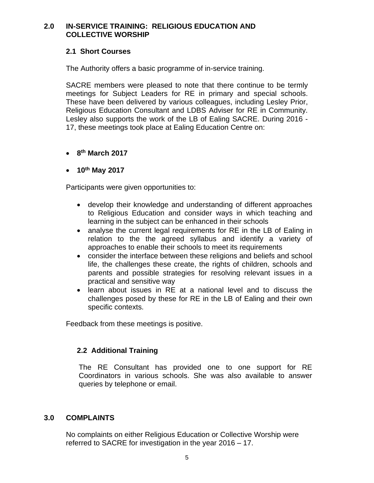## **2.0 IN-SERVICE TRAINING: RELIGIOUS EDUCATION AND COLLECTIVE WORSHIP**

## **2.1 Short Courses**

The Authority offers a basic programme of in-service training.

SACRE members were pleased to note that there continue to be termly meetings for Subject Leaders for RE in primary and special schools. These have been delivered by various colleagues, including Lesley Prior, Religious Education Consultant and LDBS Adviser for RE in Community. Lesley also supports the work of the LB of Ealing SACRE. During 2016 - 17, these meetings took place at Ealing Education Centre on:

- **8 th March 2017**
- **10th May 2017**

Participants were given opportunities to:

- develop their knowledge and understanding of different approaches to Religious Education and consider ways in which teaching and learning in the subject can be enhanced in their schools
- analyse the current legal requirements for RE in the LB of Ealing in relation to the the agreed syllabus and identify a variety of approaches to enable their schools to meet its requirements
- consider the interface between these religions and beliefs and school life, the challenges these create, the rights of children, schools and parents and possible strategies for resolving relevant issues in a practical and sensitive way
- learn about issues in RE at a national level and to discuss the challenges posed by these for RE in the LB of Ealing and their own specific contexts.

Feedback from these meetings is positive.

### **2.2 Additional Training**

The RE Consultant has provided one to one support for RE Coordinators in various schools. She was also available to answer queries by telephone or email.

### **3.0 COMPLAINTS**

No complaints on either Religious Education or Collective Worship were referred to SACRE for investigation in the year 2016 – 17.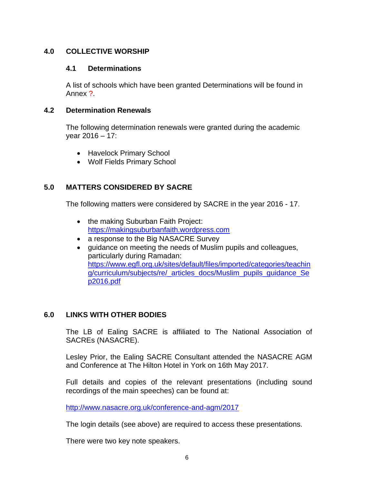## **4.0 COLLECTIVE WORSHIP**

### **4.1 Determinations**

A list of schools which have been granted Determinations will be found in Annex ?.

## **4.2 Determination Renewals**

The following determination renewals were granted during the academic year 2016 – 17:

- Havelock Primary School
- Wolf Fields Primary School

## **5.0 MATTERS CONSIDERED BY SACRE**

The following matters were considered by SACRE in the year 2016 - 17.

- the making Suburban Faith Project: [https://makingsuburbanfaith.wordpress.com](https://makingsuburbanfaith.wordpress.com/)
- a response to the Big NASACRE Survey
- guidance on meeting the needs of Muslim pupils and colleagues, particularly during Ramadan: [https://www.egfl.org.uk/sites/default/files/imported/categories/teachin](https://www.egfl.org.uk/sites/default/files/imported/categories/teaching/curriculum/subjects/re/_articles_docs/Muslim_pupils_guidance_Sep2016.pdf) [g/curriculum/subjects/re/\\_articles\\_docs/Muslim\\_pupils\\_guidance\\_Se](https://www.egfl.org.uk/sites/default/files/imported/categories/teaching/curriculum/subjects/re/_articles_docs/Muslim_pupils_guidance_Sep2016.pdf) [p2016.pdf](https://www.egfl.org.uk/sites/default/files/imported/categories/teaching/curriculum/subjects/re/_articles_docs/Muslim_pupils_guidance_Sep2016.pdf)

## **6.0 LINKS WITH OTHER BODIES**

The LB of Ealing SACRE is affiliated to The National Association of SACREs (NASACRE).

Lesley Prior, the Ealing SACRE Consultant attended the NASACRE AGM and Conference at The Hilton Hotel in York on 16th May 2017.

Full details and copies of the relevant presentations (including sound recordings of the main speeches) can be found at:

<http://www.nasacre.org.uk/conference-and-agm/2017>

The login details (see above) are required to access these presentations.

There were two key note speakers.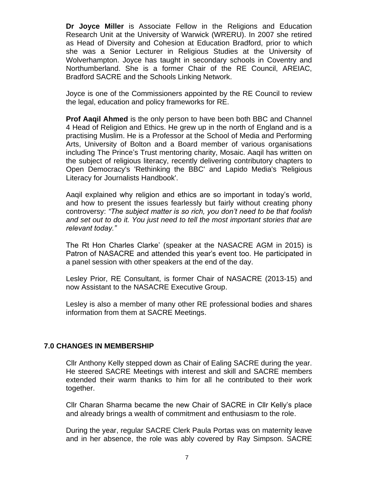**Dr Joyce Miller** is Associate Fellow in the Religions and Education Research Unit at the University of Warwick (WRERU). In 2007 she retired as Head of Diversity and Cohesion at Education Bradford, prior to which she was a Senior Lecturer in Religious Studies at the University of Wolverhampton. Joyce has taught in secondary schools in Coventry and Northumberland. She is a former Chair of the RE Council, AREIAC, Bradford SACRE and the Schools Linking Network.

Joyce is one of the Commissioners appointed by the RE Council to review the legal, education and policy frameworks for RE.

**Prof Aaqil Ahmed** is the only person to have been both BBC and Channel 4 Head of Religion and Ethics. He grew up in the north of England and is a practising Muslim. He is a Professor at the School of Media and Performing Arts, University of Bolton and a Board member of various organisations including The Prince's Trust mentoring charity, Mosaic. Aaqil has written on the subject of religious literacy, recently delivering contributory chapters to Open Democracy's 'Rethinking the BBC' and Lapido Media's 'Religious Literacy for Journalists Handbook'.

Aaqil explained why religion and ethics are so important in today's world, and how to present the issues fearlessly but fairly without creating phony controversy: *"The subject matter is so rich, you don't need to be that foolish and set out to do it. You just need to tell the most important stories that are relevant today."*

The Rt Hon Charles Clarke' (speaker at the NASACRE AGM in 2015) is Patron of NASACRE and attended this year's event too. He participated in a panel session with other speakers at the end of the day.

Lesley Prior, RE Consultant, is former Chair of NASACRE (2013-15) and now Assistant to the NASACRE Executive Group.

Lesley is also a member of many other RE professional bodies and shares information from them at SACRE Meetings.

#### **7.0 CHANGES IN MEMBERSHIP**

Cllr Anthony Kelly stepped down as Chair of Ealing SACRE during the year. He steered SACRE Meetings with interest and skill and SACRE members extended their warm thanks to him for all he contributed to their work together.

Cllr Charan Sharma became the new Chair of SACRE in Cllr Kelly's place and already brings a wealth of commitment and enthusiasm to the role.

During the year, regular SACRE Clerk Paula Portas was on maternity leave and in her absence, the role was ably covered by Ray Simpson. SACRE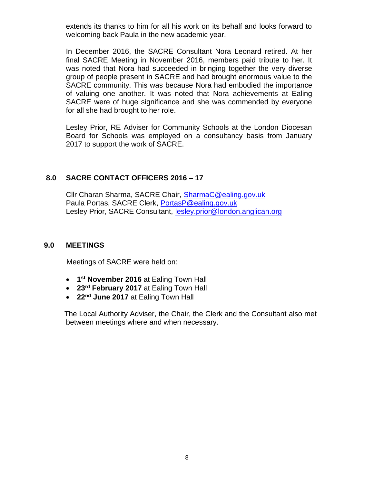extends its thanks to him for all his work on its behalf and looks forward to welcoming back Paula in the new academic year.

In December 2016, the SACRE Consultant Nora Leonard retired. At her final SACRE Meeting in November 2016, members paid tribute to her. It was noted that Nora had succeeded in bringing together the very diverse group of people present in SACRE and had brought enormous value to the SACRE community. This was because Nora had embodied the importance of valuing one another. It was noted that Nora achievements at Ealing SACRE were of huge significance and she was commended by everyone for all she had brought to her role.

Lesley Prior, RE Adviser for Community Schools at the London Diocesan Board for Schools was employed on a consultancy basis from January 2017 to support the work of SACRE.

## **8.0 SACRE CONTACT OFFICERS 2016 – 17**

Cllr Charan Sharma, SACRE Chair, [SharmaC@ealing.gov.uk](mailto:SharmaC@ealing.gov.uk) Paula Portas, SACRE Clerk, [PortasP@ealing.gov.uk](mailto:PortasP@ealing.gov.uk) Lesley Prior, SACRE Consultant, [lesley.prior@london.anglican.org](mailto:lesley.prior@london.anglican.org)

### **9.0 MEETINGS**

Meetings of SACRE were held on:

- **1 st November 2016** at Ealing Town Hall
- **23rd February 2017** at Ealing Town Hall
- **22nd June 2017** at Ealing Town Hall

 The Local Authority Adviser, the Chair, the Clerk and the Consultant also met between meetings where and when necessary.